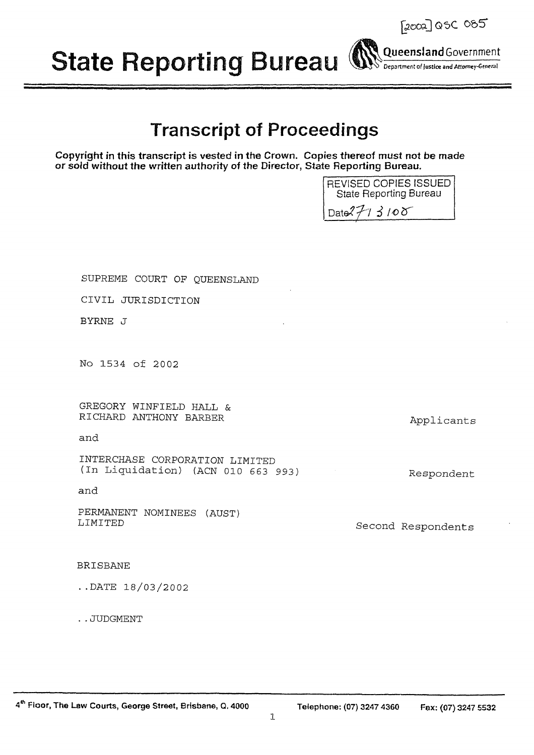**State Reporting Bureau (** 

# **Transcript of Proceedings**

Copyright in this transcript is vested in the Crown. Copies thereof must not be made or sold without the written authority of the Director, State Reporting Bureau.

SUPREME COURT OF OUEENSLAND

CIVIL JURISDICTION

BYRNE J

No 1534 of 2002

GREGORY WINFIELD HALL & RICHARD ANTHONY BARBER

and

INTERCHASE CORPORATION LIMITED (In Liquidation) (ACN 010 663 993)

and

PERMANENT NOMINEES (AUST) LIMITED

**BRISBANE** 

 $.DATE$  18/03/2002

..JUDGMENT

 $\mathbf{1}$ 



Respondent

Second Respondents

Applicants



2002] QSC 085

Queensland Government

Department of Justice and Attorney-General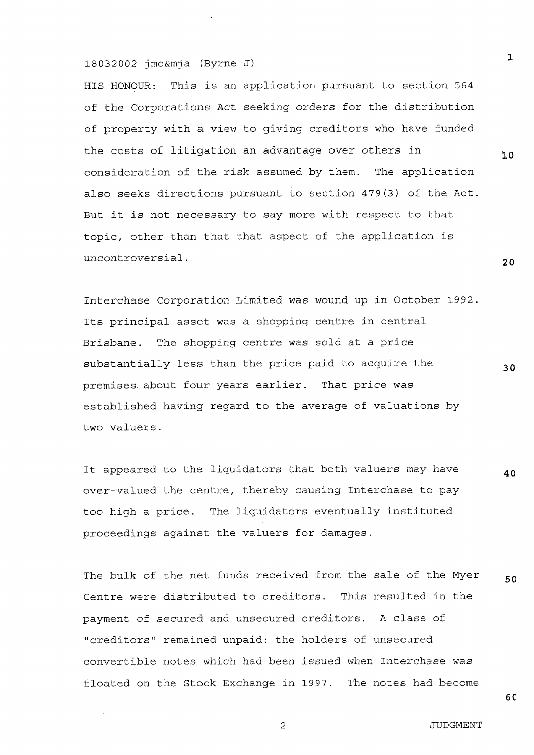HIS HONOUR: This is an application pursuant to section 564 of the Corporations Act seeking orders for the distribution of property with a view to giving creditors who have funded the costs of litigation an advantage over others in consideration of the risk assumed by them. The application also seeks directions pursuant to section 479(3) of the Act. But it is not necessary to say more with respect to that topic, other than that that aspect of the application is uncontroversial.

Interchase Corporation Limited was wound up in October 1992. Its principal asset was a shopping centre in central Brisbane. The shopping centre was sold at a price substantially less than the price paid to acquire the premises about four years earlier. That price was established having regard to the average of valuations by two valuers.

It appeared to the liquidators that both valuers may have 40 over-valued the centre, thereby causing Interchase to pay too high a price. The liquidators eventually instituted proceedings against the valuers for damages.

The bulk of the net funds received from the sale of the Myer 50 Centre were distributed to creditors. This resulted in the payment of secured and unsecured creditors. A class of "creditors" remained unpaid: the holders of unsecured convertible notes which had been issued when Interchase was floated on the Stock Exchange in 1997. The notes had become

60

 $\overline{2}$ 

 $\mathbf{1}$ 

 $10$ 

 $20$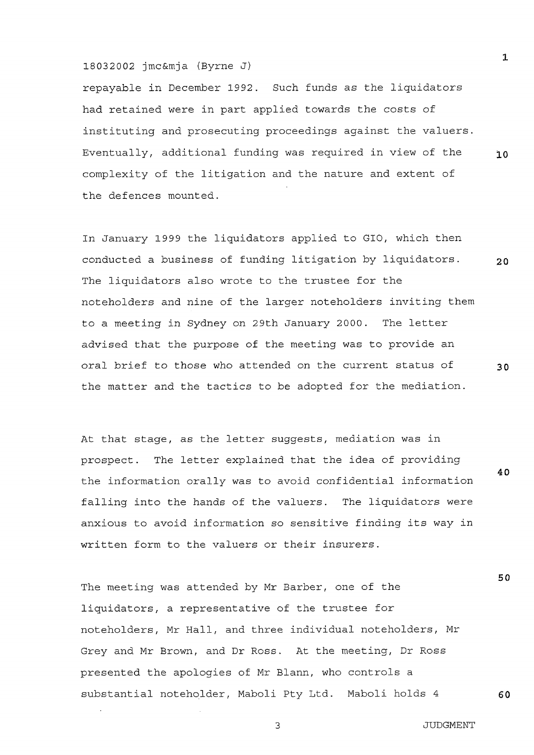repayable in December 1992. Such funds as the liquidators had retained were in part applied towards the costs of instituting and prosecuting proceedings against the valuers. Eventually, additional funding was required in view of the complexity of the litigation and the nature and extent of the defences mounted.

In January 1999 the liguidators applied to GIO, which then conducted a business of funding litigation by liquidators.  $20$ The liquidators also wrote to the trustee for the noteholders and nine of the larger noteholders inviting them to a meeting in Sydney on 29th January 2000. The letter advised that the purpose of the meeting was to provide an oral brief to those who attended on the current status of  $30$ the matter and the tactics to be adopted for the mediation.

At that stage, as the letter suggests, mediation was in The letter explained that the idea of providing prospect. the information orally was to avoid confidential information falling into the hands of the valuers. The liquidators were anxious to avoid information so sensitive finding its way in written form to the valuers or their insurers.

The meeting was attended by Mr Barber, one of the liquidators, a representative of the trustee for noteholders, Mr Hall, and three individual noteholders, Mr Grey and Mr Brown, and Dr Ross. At the meeting, Dr Ross presented the apologies of Mr Blann, who controls a substantial noteholder, Maboli Pty Ltd. Maboli holds 4

3

 $\mathbf{1}$ 

10

40

50

60

**JUDGMENT**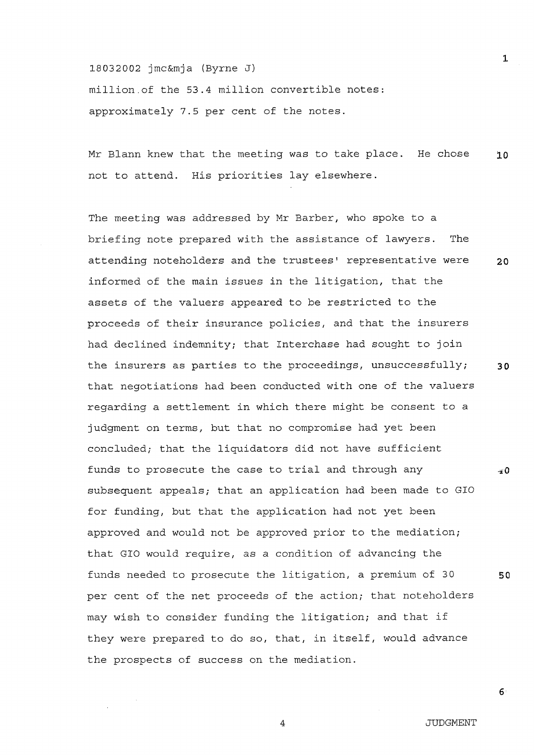18032002 jmc&mja (Byrne J) million of the 53.4 million convertible notes: approximately 7.5 per cent of the notes.

Mr Blann knew that the meeting was to take place. He chose  $10$ not to attend. His priorities lay elsewhere.

The meeting was addressed by Mr Barber, who spoke to a briefing note prepared with the assistance of lawyers. The attending noteholders and the trustees' representative were  $20$ informed of the main issues in the litigation, that the assets of the valuers appeared to be restricted to the proceeds of their insurance policies, and that the insurers had declined indemnity; that Interchase had sought to join the insurers as parties to the proceedings, unsuccessfully;  $30$ that negotiations had been conducted with one of the valuers regarding a settlement in which there might be consent to a judgment on terms, but that no compromise had yet been concluded; that the liquidators did not have sufficient funds to prosecute the case to trial and through any  $\pm 0$ subsequent appeals; that an application had been made to GIO for funding, but that the application had not yet been approved and would not be approved prior to the mediation; that GIO would require, as a condition of advancing the funds needed to prosecute the litigation, a premium of 30 50 per cent of the net proceeds of the action; that noteholders may wish to consider funding the litigation; and that if they were prepared to do so, that, in itself, would advance the prospects of success on the mediation.

 $6 \overline{6}$ 

 $\mathbf{1}$ 

**JUDGMENT** 

 $\overline{a}$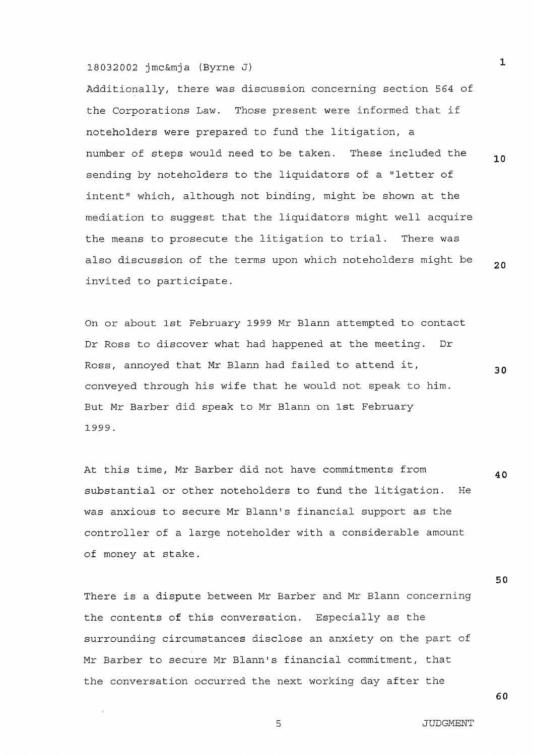# 18032002 imc&mia (Byrne J)

Additionally, there was discussion concerning section 564 of the Corporations Law. Those present were informed that if noteholders were prepared to fund the litigation, a number of steps would need to be taken. These included the sending by noteholders to the liquidators of a "letter of intent" which, although not binding, might be shown at the mediation to suggest that the liquidators might well acquire the means to prosecute the litigation to trial. There was also discussion of the terms upon which noteholders might be invited to participate.

On or about 1st February 1999 Mr Blann attempted to contact Dr Ross to discover what had happened at the meeting. Dr Ross, annoyed that Mr Blann had failed to attend it, 30 conveyed through his wife that he would not speak to him. But Mr Barber did speak to Mr Blann on 1st February 1999.

At this time, Mr Barber did not have commitments from 40 substantial or other noteholders to fund the litigation. He was anxious to secure Mr Blann's financial support as the controller of a large noteholder with a considerable amount of money at stake.

There is a dispute between Mr Barber and Mr Blann concerning the contents of this conversation. Especially as the surrounding circumstances disclose an anxiety on the part of Mr Barber to secure Mr Blann's financial commitment, that the conversation occurred the next working day after the

 $\mathbf 1$ 

10

 $20$ 

50

60

 $\overline{5}$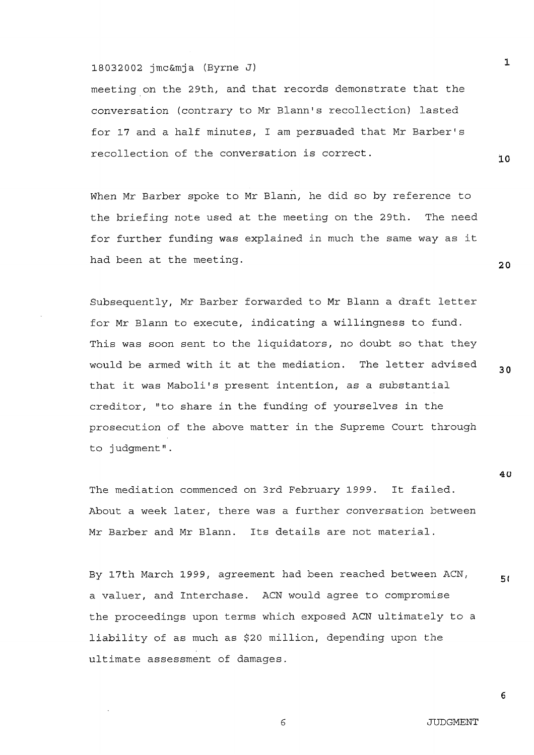# 18032002 imc&mia (Byrne J)

meeting on the 29th, and that records demonstrate that the conversation (contrary to Mr Blann's recollection) lasted for 17 and a half minutes, I am persuaded that Mr Barber's recollection of the conversation is correct.

When Mr Barber spoke to Mr Blann, he did so by reference to the briefing note used at the meeting on the 29th. The need for further funding was explained in much the same way as it had been at the meeting.

Subsequently, Mr Barber forwarded to Mr Blann a draft letter for Mr Blann to execute, indicating a willingness to fund. This was soon sent to the liquidators, no doubt so that they would be armed with it at the mediation. The letter advised that it was Maboli's present intention, as a substantial creditor, "to share in the funding of yourselves in the prosecution of the above matter in the Supreme Court through to judqment".

The mediation commenced on 3rd February 1999. It failed. About a week later, there was a further conversation between Mr Barber and Mr Blann. Its details are not material.

By 17th March 1999, agreement had been reached between ACN, 51 a valuer, and Interchase. ACN would agree to compromise the proceedings upon terms which exposed ACN ultimately to a liability of as much as \$20 million, depending upon the ultimate assessment of damages.

6

 $\mathbf{I}$ 

 $10$ 

 $20$ 

 $30<sup>°</sup>$ 

40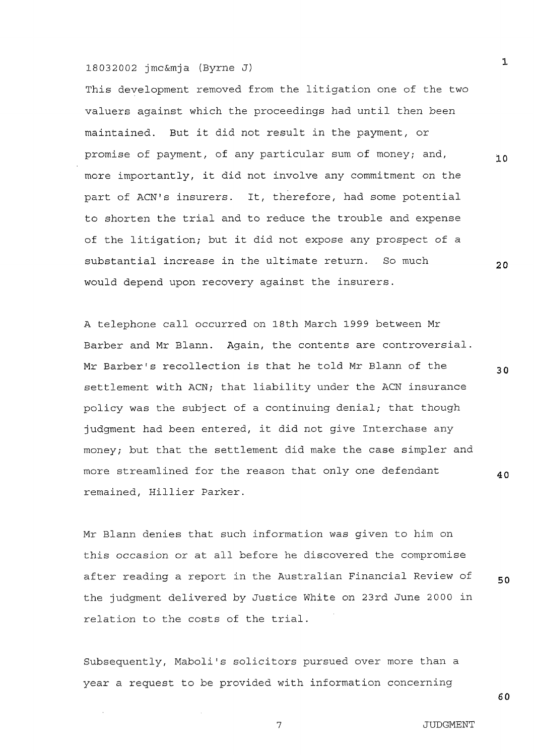#### 18032002 imc&mia (Byrne J)

This development removed from the litigation one of the two valuers against which the proceedings had until then been maintained. But it did not result in the payment, or promise of payment, of any particular sum of money; and, more importantly, it did not involve any commitment on the part of ACN's insurers. It, therefore, had some potential to shorten the trial and to reduce the trouble and expense of the litigation; but it did not expose any prospect of a substantial increase in the ultimate return. So much would depend upon recovery against the insurers.

A telephone call occurred on 18th March 1999 between Mr Barber and Mr Blann. Again, the contents are controversial. Mr Barber's recollection is that he told Mr Blann of the settlement with ACN; that liability under the ACN insurance policy was the subject of a continuing denial; that though judgment had been entered, it did not give Interchase any money; but that the settlement did make the case simpler and more streamlined for the reason that only one defendant remained, Hillier Parker.

Mr Blann denies that such information was given to him on this occasion or at all before he discovered the compromise after reading a report in the Australian Financial Review of the judgment delivered by Justice White on 23rd June 2000 in relation to the costs of the trial.

Subsequently, Maboli's solicitors pursued over more than a year a request to be provided with information concerning

 $\mathbf{1}$ 

 $10$ 

 $20$ 

30

40

50

60

 $\overline{7}$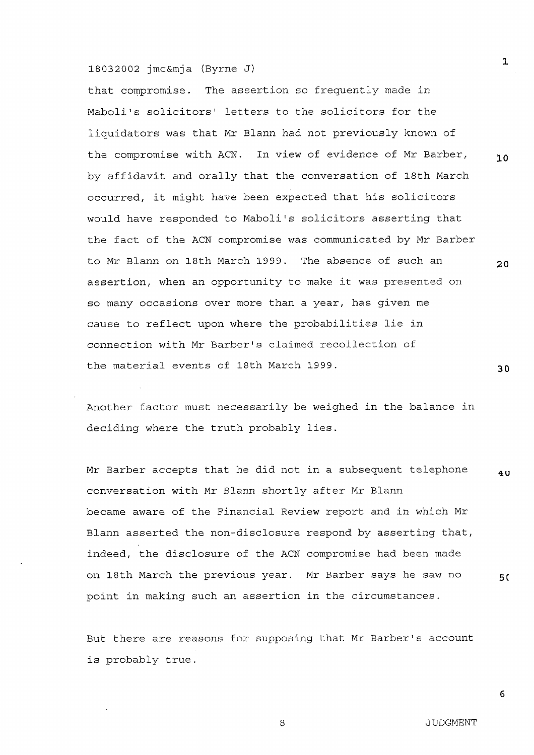that compromise. The assertion so frequently made in Maboli's solicitors' letters to the solicitors for the liquidators was that Mr Blann had not previously known of the compromise with ACN. In view of evidence of Mr Barber, by affidavit and orally that the conversation of 18th March occurred, it might have been expected that his solicitors would have responded to Maboli's solicitors asserting that the fact of the ACN compromise was communicated by Mr Barber to Mr Blann on 18th March 1999. The absence of such an assertion, when an opportunity to make it was presented on so many occasions over more than a year, has given me cause to reflect upon where the probabilities lie in connection with Mr Barber's claimed recollection of the material events of 18th March 1999.

Another factor must necessarily be weighed in the balance in deciding where the truth probably lies.

Mr Barber accepts that he did not in a subsequent telephone 4 U conversation with Mr Blann shortly after Mr Blann became aware of the Financial Review report and in which Mr Blann asserted the non-disclosure respond by asserting that, indeed, the disclosure of the ACN compromise had been made on 18th March the previous year. Mr Barber says he saw no 50 point in making such an assertion in the circumstances.

But there are reasons for supposing that Mr Barber's account is probably true.

 $\mathsf{a}$ 

 $\mathbf{1}$ 

 $10$ 

 $20$ 

 $30$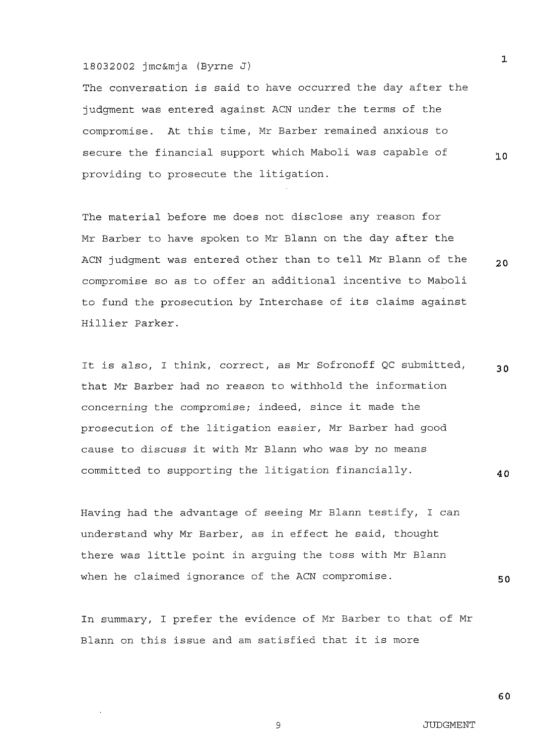The conversation is said to have occurred the day after the judgment was entered against ACN under the terms of the compromise. At this time, Mr Barber remained anxious to secure the financial support which Maboli was capable of providing to prosecute the litigation.

The material before me does not disclose any reason for Mr Barber to have spoken to Mr Blann on the day after the ACN judgment was entered other than to tell Mr Blann of the compromise so as to offer an additional incentive to Maboli to fund the prosecution by Interchase of its claims against Hillier Parker.

It is also, I think, correct, as Mr Sofronoff QC submitted, 30 that Mr Barber had no reason to withhold the information concerning the compromise; indeed, since it made the prosecution of the litigation easier, Mr Barber had good cause to discuss it with Mr Blann who was by no means committed to supporting the litigation financially. 40

Having had the advantage of seeing Mr Blann testify, I can understand why Mr Barber, as in effect he said, thought there was little point in arquing the toss with Mr Blann when he claimed ignorance of the ACN compromise.

In summary, I prefer the evidence of Mr Barber to that of Mr Blann on this issue and am satisfied that it is more

50

9

 $\mathbf{1}$ 

 $10$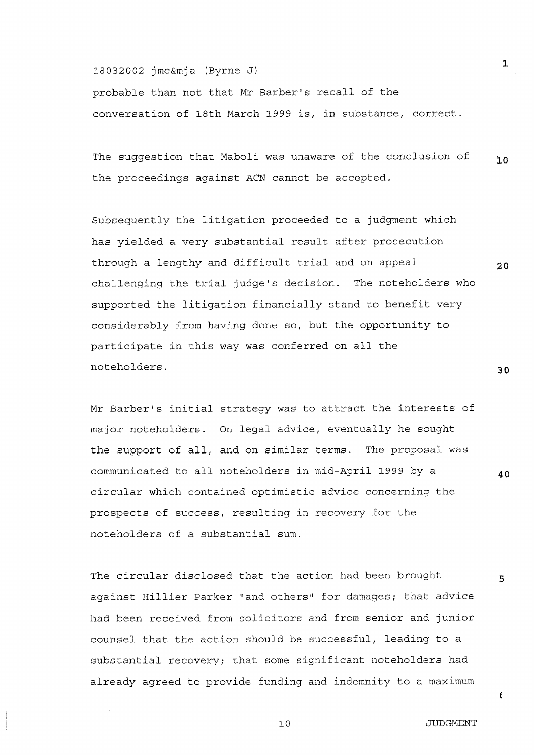probable than not that Mr Barber's recall of the conversation of 18th March 1999 is, in substance, correct.

The suggestion that Maboli was unaware of the conclusion of  $10$ the proceedings against ACN cannot be accepted.

Subsequently the litigation proceeded to a judgment which has yielded a very substantial result after prosecution through a lengthy and difficult trial and on appeal challenging the trial judge's decision. The noteholders who supported the litigation financially stand to benefit very considerably from having done so, but the opportunity to participate in this way was conferred on all the noteholders.

Mr Barber's initial strategy was to attract the interests of major noteholders. On legal advice, eventually he sought the support of all, and on similar terms. The proposal was communicated to all noteholders in mid-April 1999 by a circular which contained optimistic advice concerning the prospects of success, resulting in recovery for the noteholders of a substantial sum.

The circular disclosed that the action had been brought against Hillier Parker "and others" for damages; that advice had been received from solicitors and from senior and junior counsel that the action should be successful, leading to a substantial recovery; that some significant noteholders had already agreed to provide funding and indemnity to a maximum

 $10$ 

 $30$ 

40

 $5($ 

 $\epsilon$ 

 $20$ 

 $\mathbf{1}$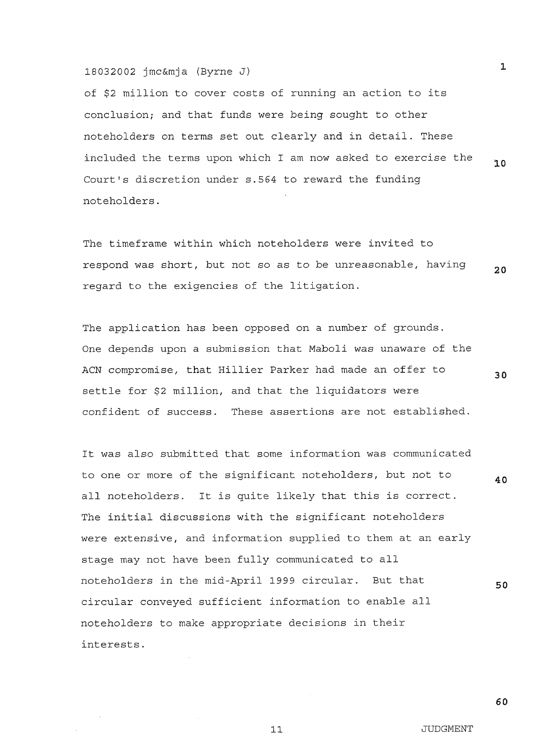of \$2 million to cover costs of running an action to its conclusion; and that funds were being sought to other noteholders on terms set out clearly and in detail. These included the terms upon which I am now asked to exercise the  $10$ Court's discretion under s.564 to reward the funding noteholders.

The timeframe within which noteholders were invited to respond was short, but not so as to be unreasonable, having  $20$ regard to the exigencies of the litigation.

The application has been opposed on a number of grounds. One depends upon a submission that Maboli was unaware of the ACN compromise, that Hillier Parker had made an offer to settle for \$2 million, and that the liquidators were confident of success. These assertions are not established.

It was also submitted that some information was communicated to one or more of the significant noteholders, but not to 40 It is quite likely that this is correct. all noteholders. The initial discussions with the significant noteholders were extensive, and information supplied to them at an early stage may not have been fully communicated to all noteholders in the mid-April 1999 circular. But that 50 circular conveyed sufficient information to enable all noteholders to make appropriate decisions in their interests.

 $\mathbf{1}$ 

30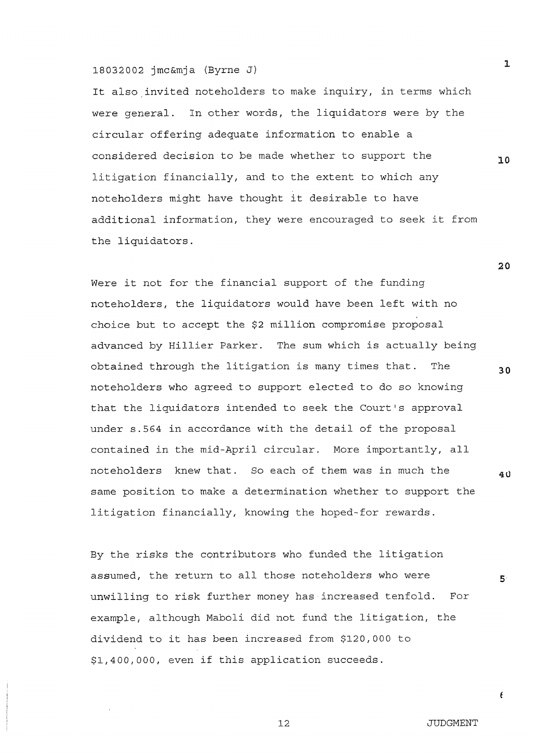It also invited noteholders to make inquiry, in terms which were general. In other words, the liquidators were by the circular offering adequate information to enable a considered decision to be made whether to support the litigation financially, and to the extent to which any noteholders might have thought it desirable to have additional information, they were encouraged to seek it from the liquidators.

Were it not for the financial support of the funding noteholders, the liquidators would have been left with no choice but to accept the \$2 million compromise proposal advanced by Hillier Parker. The sum which is actually being obtained through the litigation is many times that. The noteholders who agreed to support elected to do so knowing that the liquidators intended to seek the Court's approval under s.564 in accordance with the detail of the proposal contained in the mid-April circular. More importantly, all noteholders knew that. So each of them was in much the same position to make a determination whether to support the litigation financially, knowing the hoped-for rewards.

By the risks the contributors who funded the litigation assumed, the return to all those noteholders who were unwilling to risk further money has increased tenfold. For example, although Maboli did not fund the litigation, the dividend to it has been increased from \$120,000 to \$1,400,000, even if this application succeeds.

 $20$ 

30

40

 $12$ 

 $\overline{5}$ 

 $\epsilon$ 

 $\mathbf{1}$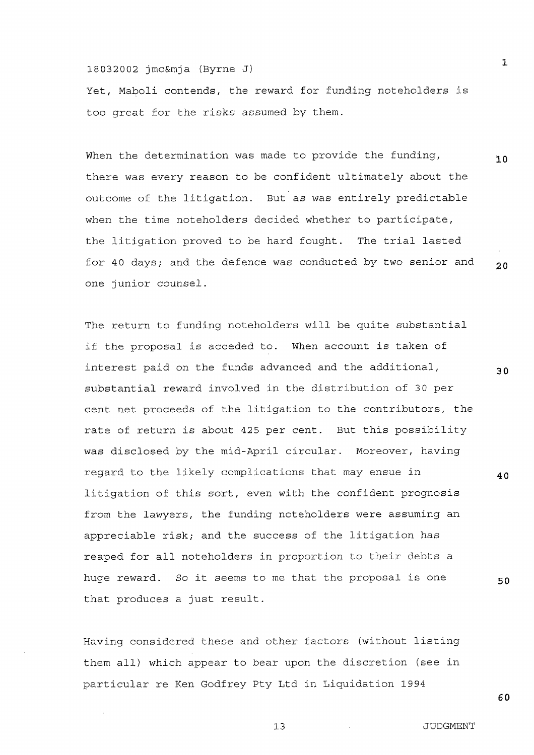Yet, Maboli contends, the reward for funding noteholders is too great for the risks assumed by them.

When the determination was made to provide the funding,  $10$ there was every reason to be confident ultimately about the outcome of the litigation. But as was entirely predictable when the time noteholders decided whether to participate, the litigation proved to be hard fought. The trial lasted for 40 days; and the defence was conducted by two senior and  $20$ one junior counsel.

The return to funding noteholders will be quite substantial if the proposal is acceded to. When account is taken of interest paid on the funds advanced and the additional, substantial reward involved in the distribution of 30 per cent net proceeds of the litigation to the contributors, the rate of return is about 425 per cent. But this possibility was disclosed by the mid-April circular. Moreover, having regard to the likely complications that may ensue in litigation of this sort, even with the confident prognosis from the lawyers, the funding noteholders were assuming an appreciable risk; and the success of the litigation has reaped for all noteholders in proportion to their debts a huge reward. So it seems to me that the proposal is one that produces a just result.

Having considered these and other factors (without listing them all) which appear to bear upon the discretion (see in particular re Ken Godfrey Pty Ltd in Liquidation 1994

 $\mathbf{1}$ 

30

40

50

60